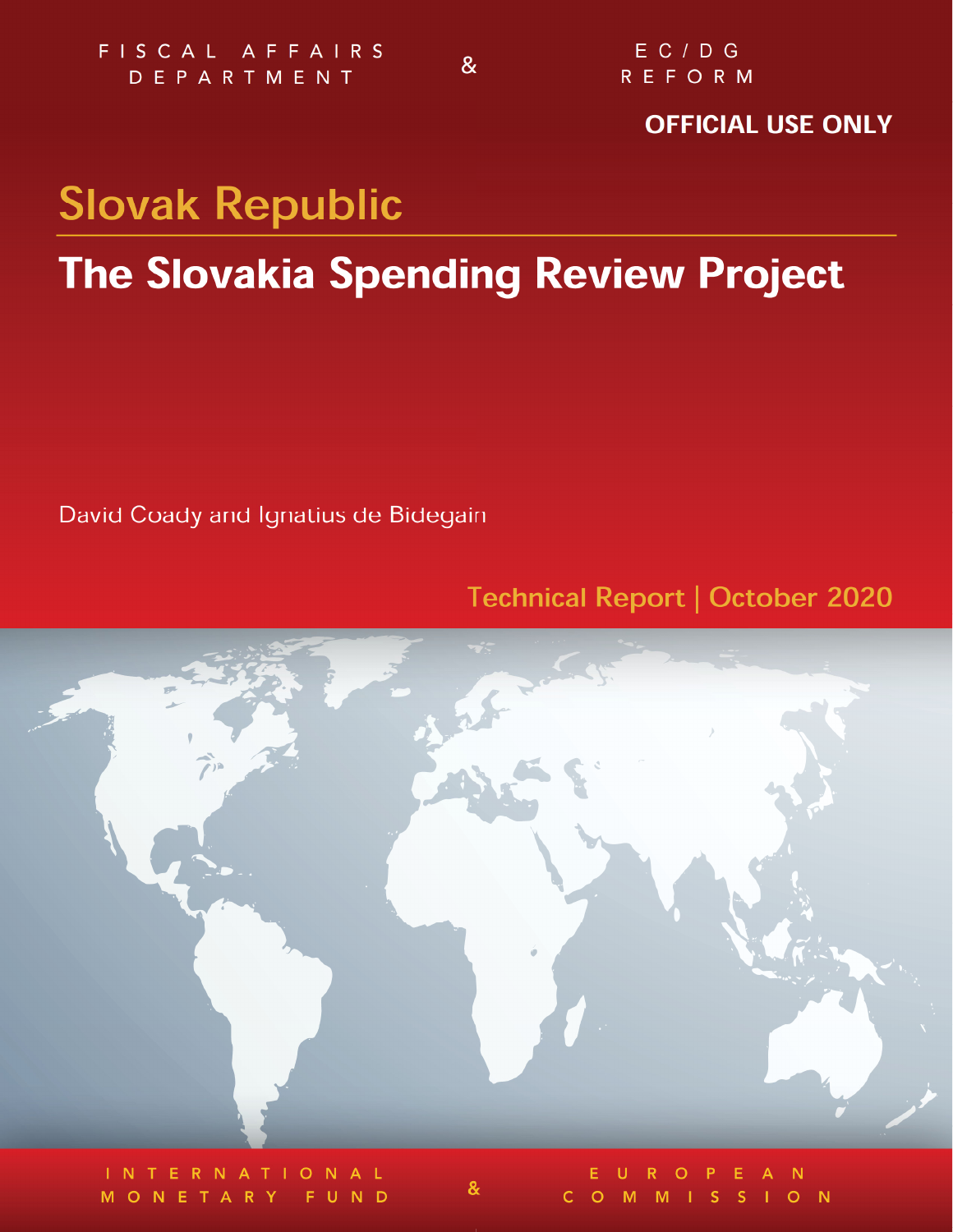$\mathbf{g}$ 

## **OFFICIAL USE ONLY**

# **Slovak Republic**

## **The Slovakia Spending Review Project**

David Coady and Ignatius de Bidegain

## **Technical Report | October 2020**



 $\boldsymbol{\alpha}$ 

 $\overline{C}$ 

O M M I S S I O N

MONETARY FUND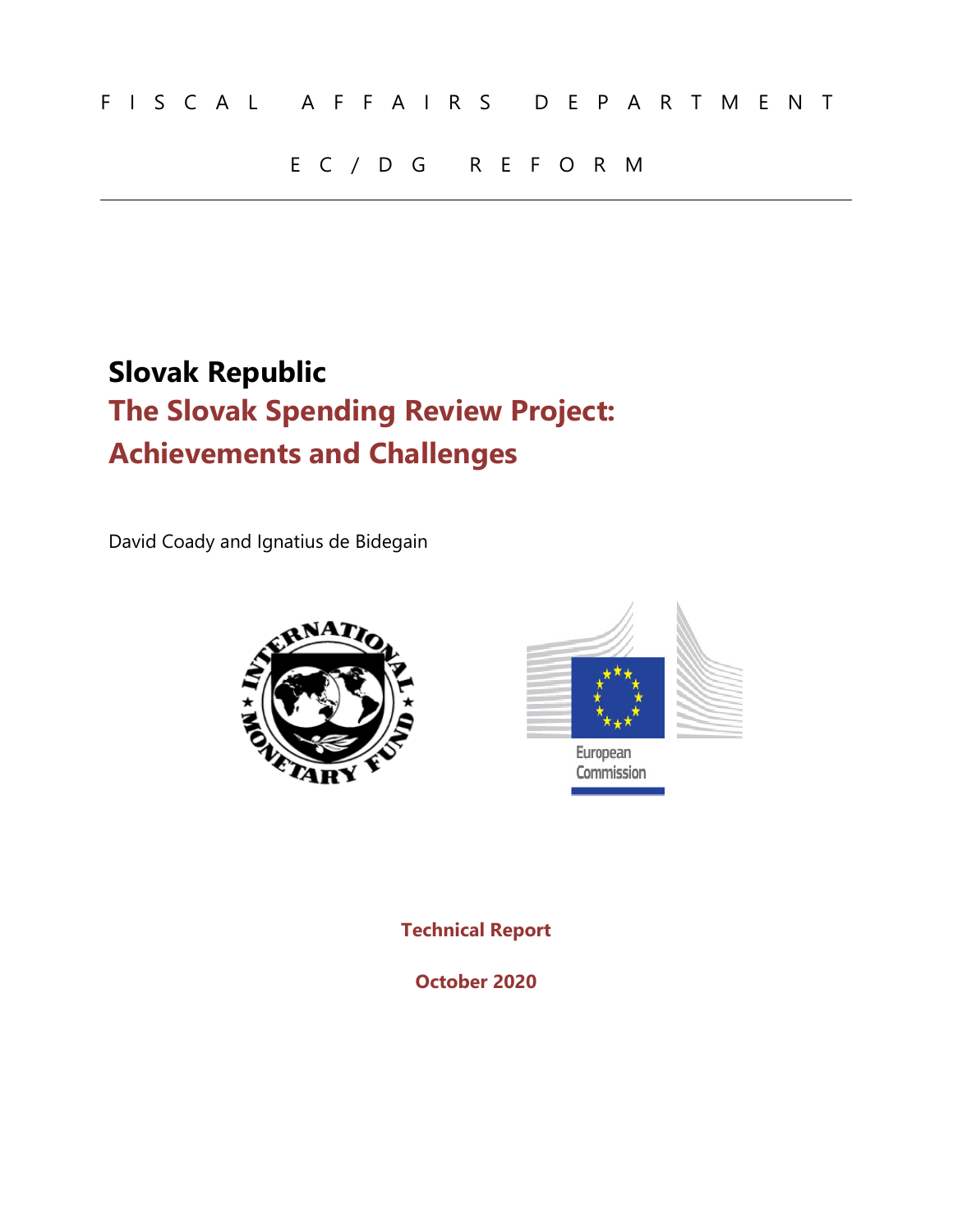## EC/DG REFORM

## **Slovak Republic The Slovak Spending Review Project: Achievements and Challenges**

David Coady and Ignatius de Bidegain





European Commission

**Technical Report** 

**October 2020**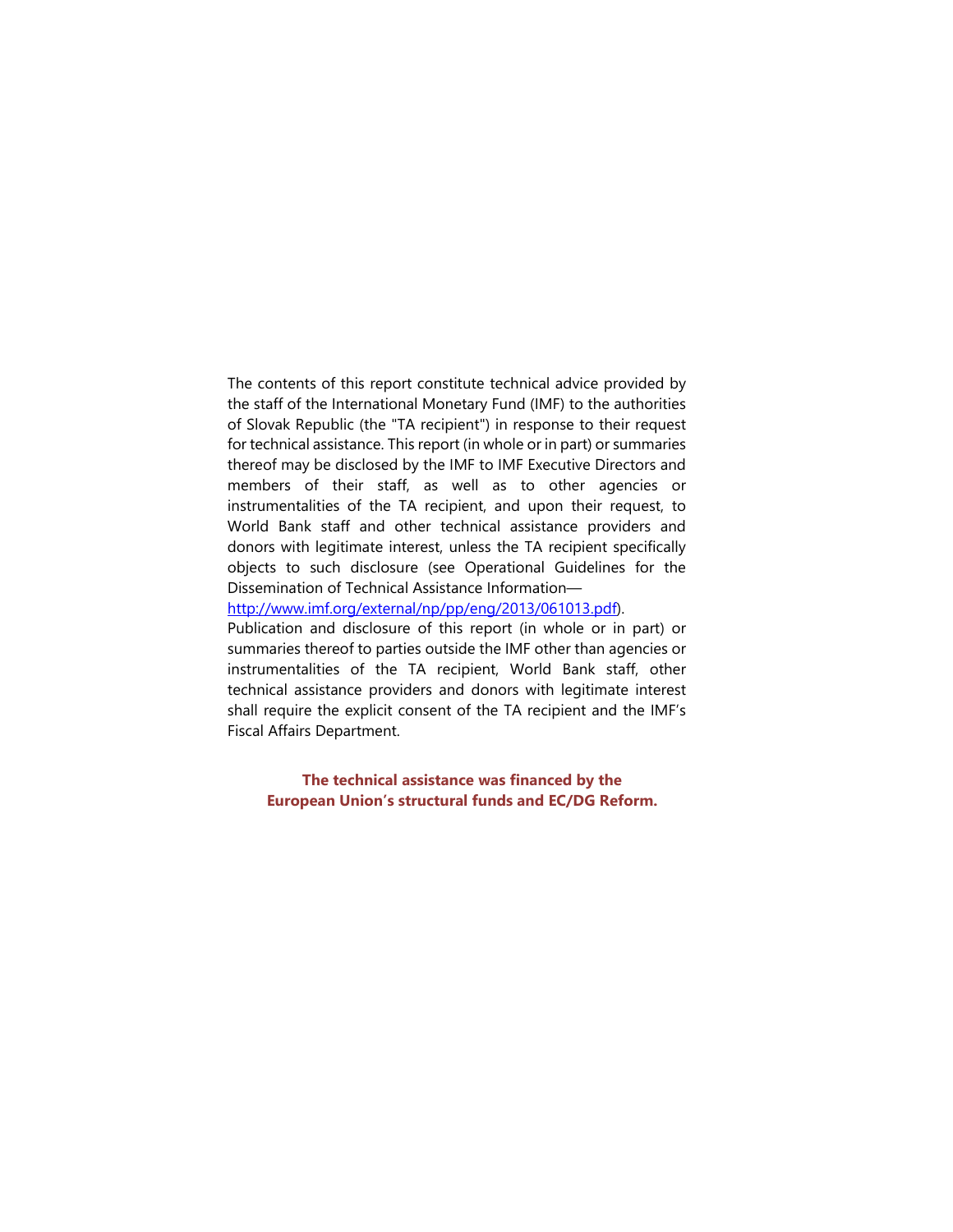The contents of this report constitute technical advice provided by the staff of the International Monetary Fund (IMF) to the authorities of Slovak Republic (the "TA recipient") in response to their request for technical assistance. This report (in whole or in part) or summaries thereof may be disclosed by the IMF to IMF Executive Directors and members of their staff, as well as to other agencies or instrumentalities of the TA recipient, and upon their request, to World Bank staff and other technical assistance providers and donors with legitimate interest, unless the TA recipient specifically objects to such disclosure (see Operational Guidelines for the Dissemination of Technical Assistance Information—

http://www.imf.org/external/np/pp/eng/2013/061013.pdf).

Publication and disclosure of this report (in whole or in part) or summaries thereof to parties outside the IMF other than agencies or instrumentalities of the TA recipient, World Bank staff, other technical assistance providers and donors with legitimate interest shall require the explicit consent of the TA recipient and the IMF's Fiscal Affairs Department.

 **The technical assistance was financed by the European Union's structural funds and EC/DG Reform.**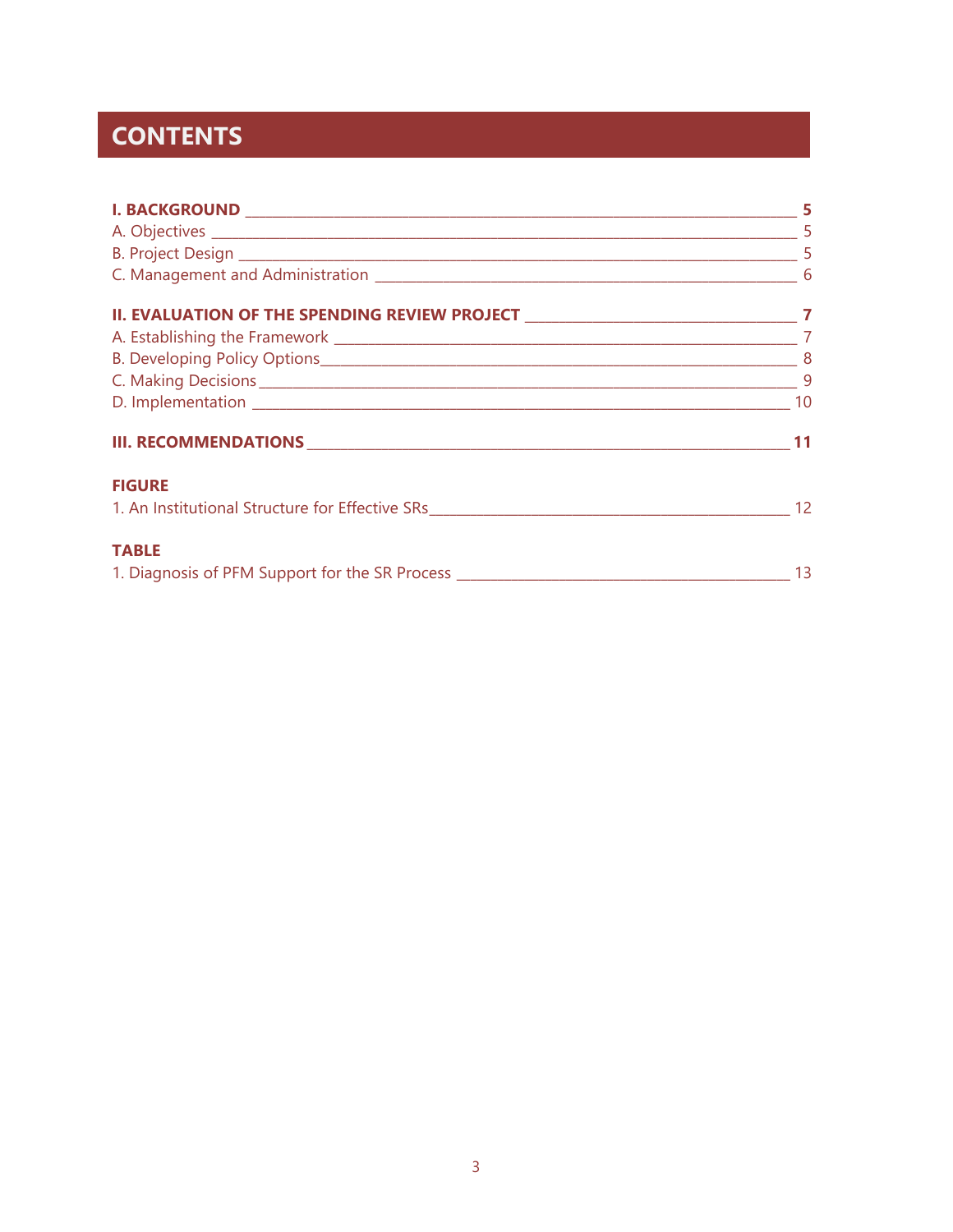## **CONTENTS**

| <b>FIGURE</b><br>1. An Institutional Structure for Effective SRs 1999 12 12                       |     |
|---------------------------------------------------------------------------------------------------|-----|
| <b>TABLE</b><br>1. Diagnosis of PFM Support for the SR Process __________________________________ | -13 |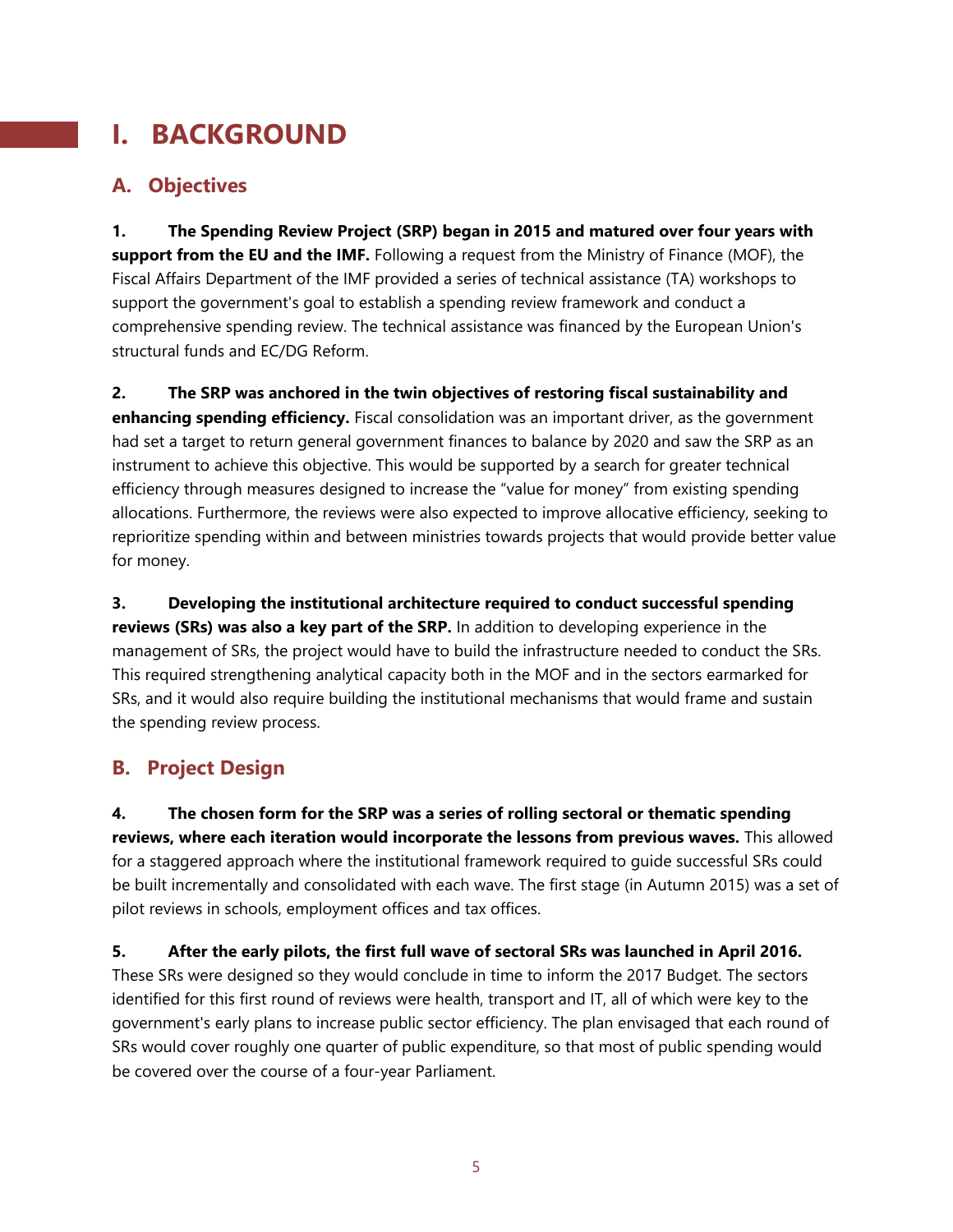## **I. BACKGROUND**

## **A. Objectives**

**1. The Spending Review Project (SRP) began in 2015 and matured over four years with support from the EU and the IMF.** Following a request from the Ministry of Finance (MOF), the Fiscal Affairs Department of the IMF provided a series of technical assistance (TA) workshops to support the government's goal to establish a spending review framework and conduct a comprehensive spending review. The technical assistance was financed by the European Union's structural funds and EC/DG Reform.

**2. The SRP was anchored in the twin objectives of restoring fiscal sustainability and enhancing spending efficiency.** Fiscal consolidation was an important driver, as the government had set a target to return general government finances to balance by 2020 and saw the SRP as an instrument to achieve this objective. This would be supported by a search for greater technical efficiency through measures designed to increase the "value for money" from existing spending allocations. Furthermore, the reviews were also expected to improve allocative efficiency, seeking to reprioritize spending within and between ministries towards projects that would provide better value for money.

**3. Developing the institutional architecture required to conduct successful spending reviews (SRs) was also a key part of the SRP.** In addition to developing experience in the management of SRs, the project would have to build the infrastructure needed to conduct the SRs. This required strengthening analytical capacity both in the MOF and in the sectors earmarked for SRs, and it would also require building the institutional mechanisms that would frame and sustain the spending review process.

## **B. Project Design**

**4. The chosen form for the SRP was a series of rolling sectoral or thematic spending reviews, where each iteration would incorporate the lessons from previous waves.** This allowed for a staggered approach where the institutional framework required to guide successful SRs could be built incrementally and consolidated with each wave. The first stage (in Autumn 2015) was a set of pilot reviews in schools, employment offices and tax offices.

**5. After the early pilots, the first full wave of sectoral SRs was launched in April 2016.**  These SRs were designed so they would conclude in time to inform the 2017 Budget. The sectors identified for this first round of reviews were health, transport and IT, all of which were key to the government's early plans to increase public sector efficiency. The plan envisaged that each round of SRs would cover roughly one quarter of public expenditure, so that most of public spending would be covered over the course of a four-year Parliament.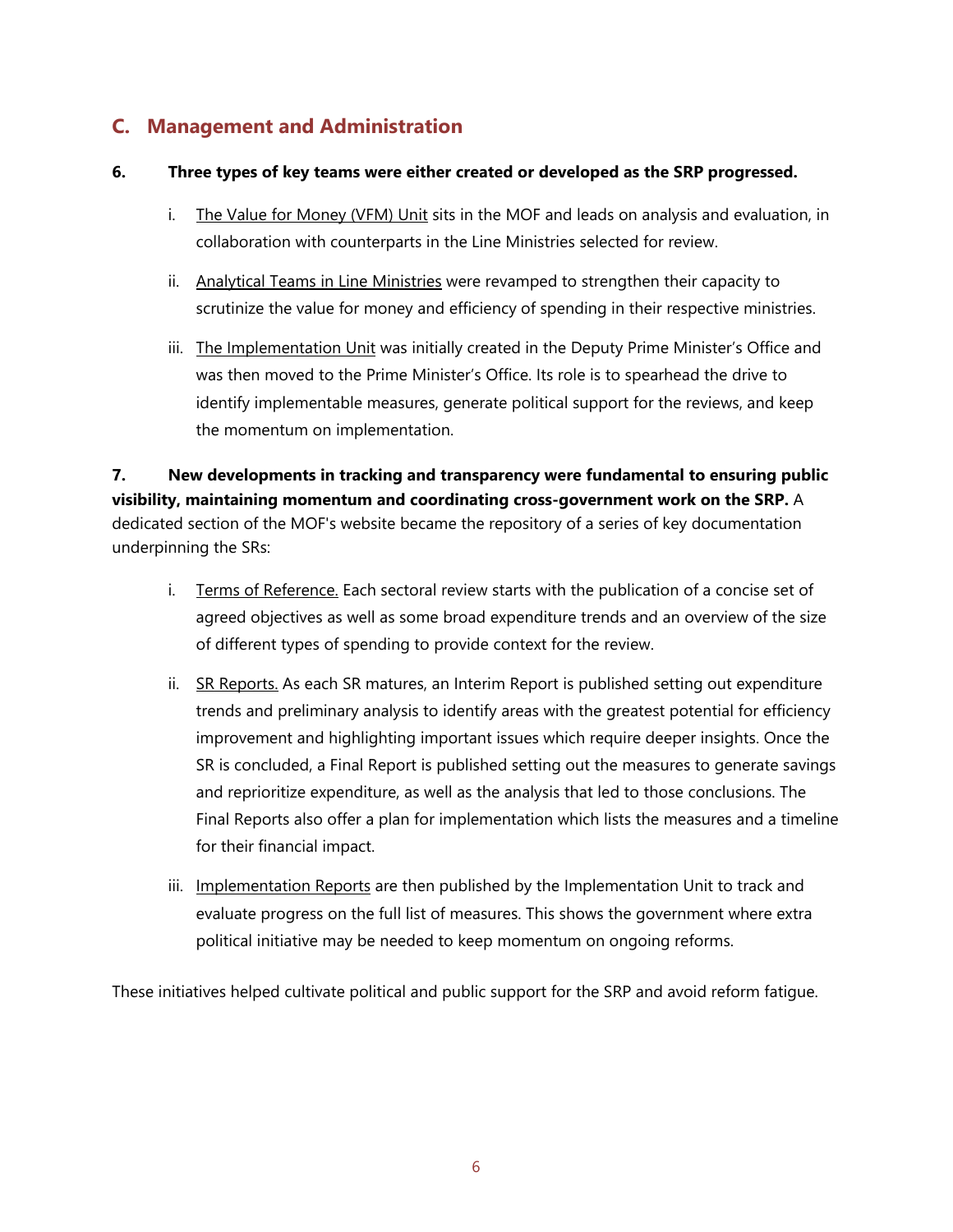### **C. Management and Administration**

#### **6. Three types of key teams were either created or developed as the SRP progressed.**

- i. The Value for Money (VFM) Unit sits in the MOF and leads on analysis and evaluation, in collaboration with counterparts in the Line Ministries selected for review.
- ii. Analytical Teams in Line Ministries were revamped to strengthen their capacity to scrutinize the value for money and efficiency of spending in their respective ministries.
- iii. The Implementation Unit was initially created in the Deputy Prime Minister's Office and was then moved to the Prime Minister's Office. Its role is to spearhead the drive to identify implementable measures, generate political support for the reviews, and keep the momentum on implementation.

**7. New developments in tracking and transparency were fundamental to ensuring public visibility, maintaining momentum and coordinating cross-government work on the SRP.** A dedicated section of the MOF's website became the repository of a series of key documentation underpinning the SRs:

- i. Terms of Reference. Each sectoral review starts with the publication of a concise set of agreed objectives as well as some broad expenditure trends and an overview of the size of different types of spending to provide context for the review.
- ii. SR Reports. As each SR matures, an Interim Report is published setting out expenditure trends and preliminary analysis to identify areas with the greatest potential for efficiency improvement and highlighting important issues which require deeper insights. Once the SR is concluded, a Final Report is published setting out the measures to generate savings and reprioritize expenditure, as well as the analysis that led to those conclusions. The Final Reports also offer a plan for implementation which lists the measures and a timeline for their financial impact.
- iii. Implementation Reports are then published by the Implementation Unit to track and evaluate progress on the full list of measures. This shows the government where extra political initiative may be needed to keep momentum on ongoing reforms.

These initiatives helped cultivate political and public support for the SRP and avoid reform fatigue.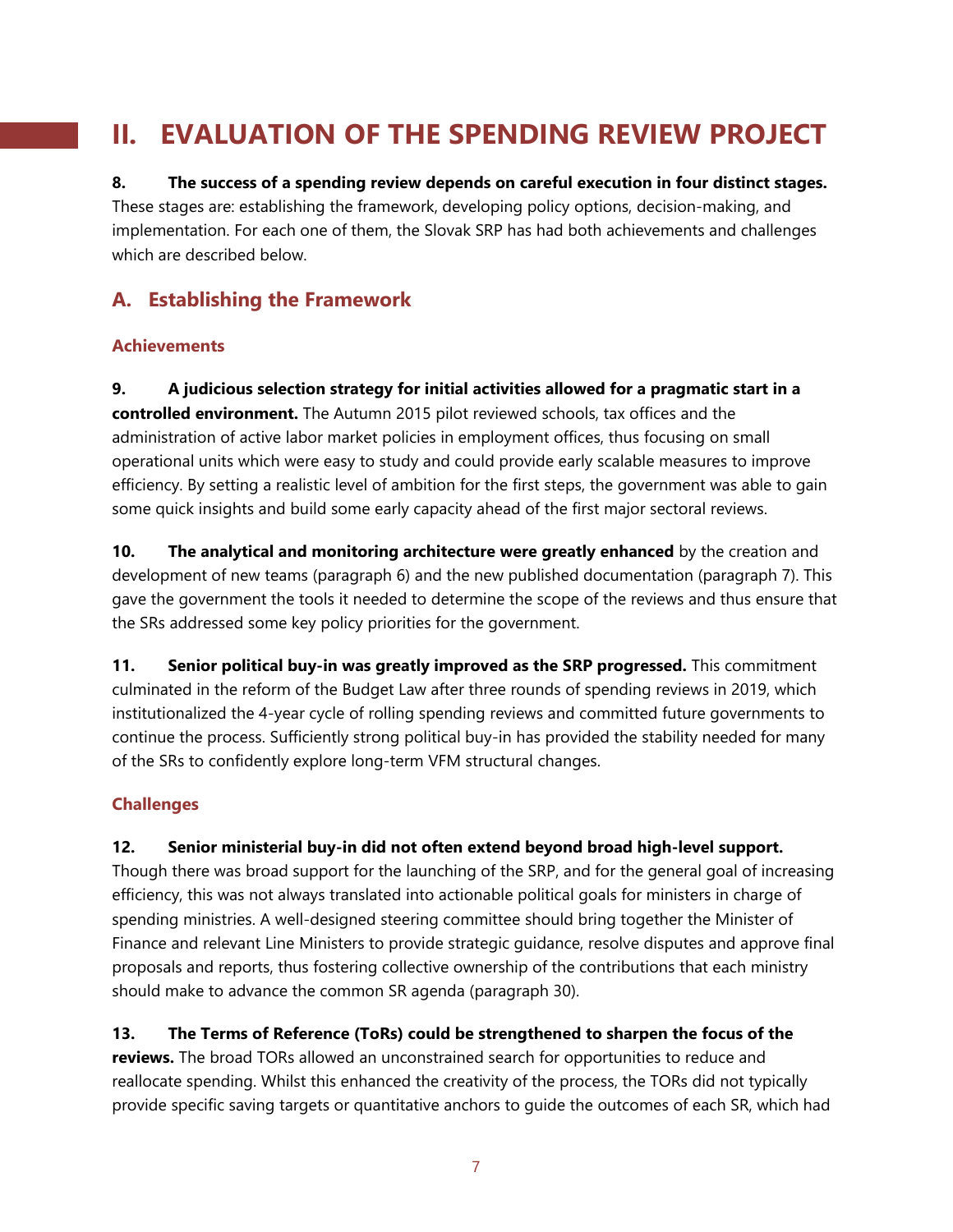## **II. EVALUATION OF THE SPENDING REVIEW PROJECT**

## **8. The success of a spending review depends on careful execution in four distinct stages.**  These stages are: establishing the framework, developing policy options, decision-making, and

implementation. For each one of them, the Slovak SRP has had both achievements and challenges which are described below.

### **A. Establishing the Framework**

#### **Achievements**

**9. A judicious selection strategy for initial activities allowed for a pragmatic start in a controlled environment.** The Autumn 2015 pilot reviewed schools, tax offices and the administration of active labor market policies in employment offices, thus focusing on small operational units which were easy to study and could provide early scalable measures to improve efficiency. By setting a realistic level of ambition for the first steps, the government was able to gain some quick insights and build some early capacity ahead of the first major sectoral reviews.

**10. The analytical and monitoring architecture were greatly enhanced** by the creation and development of new teams (paragraph 6) and the new published documentation (paragraph 7). This gave the government the tools it needed to determine the scope of the reviews and thus ensure that the SRs addressed some key policy priorities for the government.

**11. Senior political buy-in was greatly improved as the SRP progressed.** This commitment culminated in the reform of the Budget Law after three rounds of spending reviews in 2019, which institutionalized the 4-year cycle of rolling spending reviews and committed future governments to continue the process. Sufficiently strong political buy-in has provided the stability needed for many of the SRs to confidently explore long-term VFM structural changes.

#### **Challenges**

#### **12. Senior ministerial buy-in did not often extend beyond broad high-level support.**

Though there was broad support for the launching of the SRP, and for the general goal of increasing efficiency, this was not always translated into actionable political goals for ministers in charge of spending ministries. A well-designed steering committee should bring together the Minister of Finance and relevant Line Ministers to provide strategic guidance, resolve disputes and approve final proposals and reports, thus fostering collective ownership of the contributions that each ministry should make to advance the common SR agenda (paragraph 30).

#### **13. The Terms of Reference (ToRs) could be strengthened to sharpen the focus of the**

**reviews.** The broad TORs allowed an unconstrained search for opportunities to reduce and reallocate spending. Whilst this enhanced the creativity of the process, the TORs did not typically provide specific saving targets or quantitative anchors to guide the outcomes of each SR, which had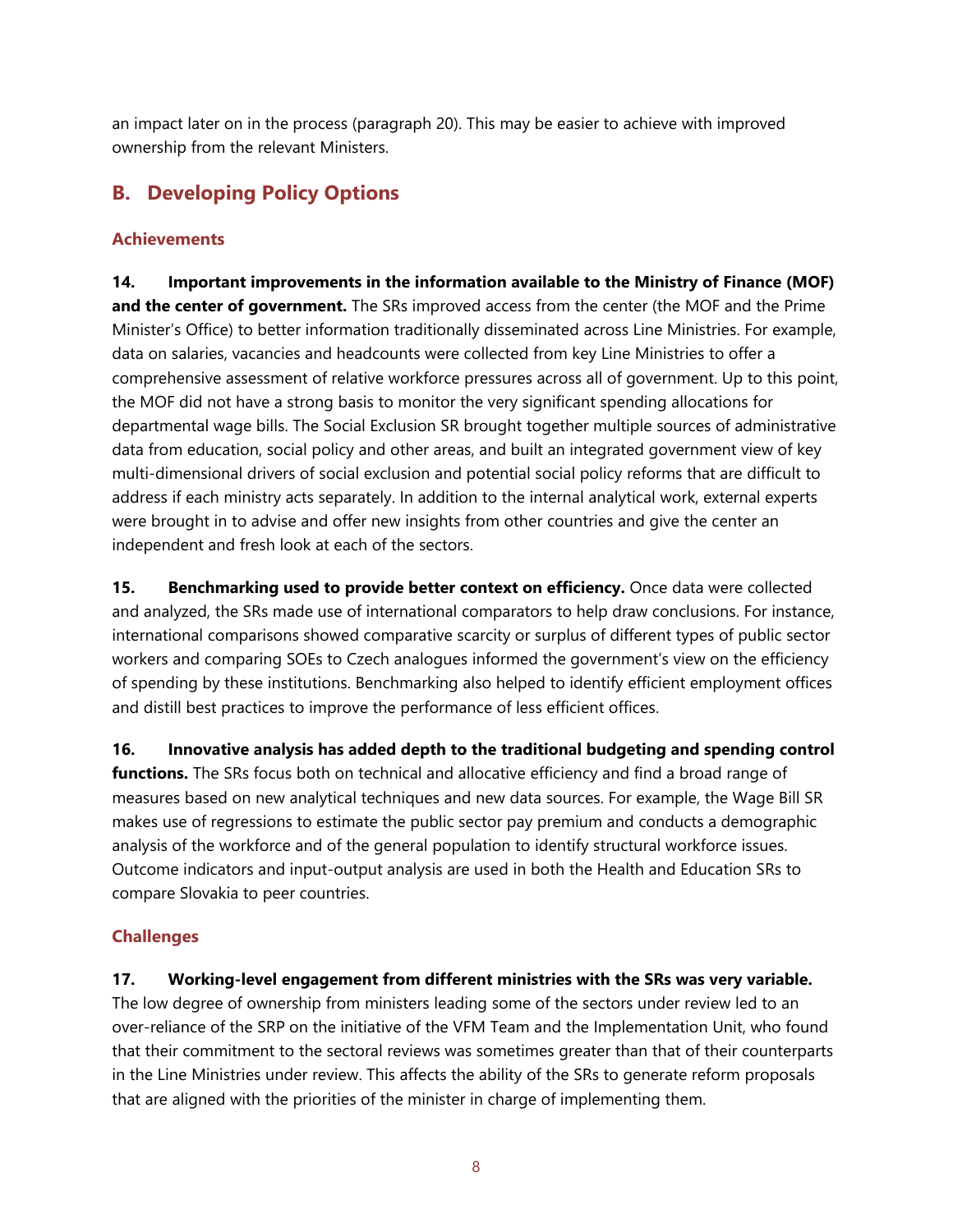an impact later on in the process (paragraph 20). This may be easier to achieve with improved ownership from the relevant Ministers.

### **B. Developing Policy Options**

#### **Achievements**

**14. Important improvements in the information available to the Ministry of Finance (MOF) and the center of government.** The SRs improved access from the center (the MOF and the Prime Minister's Office) to better information traditionally disseminated across Line Ministries. For example, data on salaries, vacancies and headcounts were collected from key Line Ministries to offer a comprehensive assessment of relative workforce pressures across all of government. Up to this point, the MOF did not have a strong basis to monitor the very significant spending allocations for departmental wage bills. The Social Exclusion SR brought together multiple sources of administrative data from education, social policy and other areas, and built an integrated government view of key multi-dimensional drivers of social exclusion and potential social policy reforms that are difficult to address if each ministry acts separately. In addition to the internal analytical work, external experts were brought in to advise and offer new insights from other countries and give the center an independent and fresh look at each of the sectors.

**15. Benchmarking used to provide better context on efficiency.** Once data were collected and analyzed, the SRs made use of international comparators to help draw conclusions. For instance, international comparisons showed comparative scarcity or surplus of different types of public sector workers and comparing SOEs to Czech analogues informed the government's view on the efficiency of spending by these institutions. Benchmarking also helped to identify efficient employment offices and distill best practices to improve the performance of less efficient offices.

**16. Innovative analysis has added depth to the traditional budgeting and spending control functions.** The SRs focus both on technical and allocative efficiency and find a broad range of measures based on new analytical techniques and new data sources. For example, the Wage Bill SR makes use of regressions to estimate the public sector pay premium and conducts a demographic analysis of the workforce and of the general population to identify structural workforce issues. Outcome indicators and input-output analysis are used in both the Health and Education SRs to compare Slovakia to peer countries.

#### **Challenges**

#### **17. Working-level engagement from different ministries with the SRs was very variable.**

The low degree of ownership from ministers leading some of the sectors under review led to an over-reliance of the SRP on the initiative of the VFM Team and the Implementation Unit, who found that their commitment to the sectoral reviews was sometimes greater than that of their counterparts in the Line Ministries under review. This affects the ability of the SRs to generate reform proposals that are aligned with the priorities of the minister in charge of implementing them.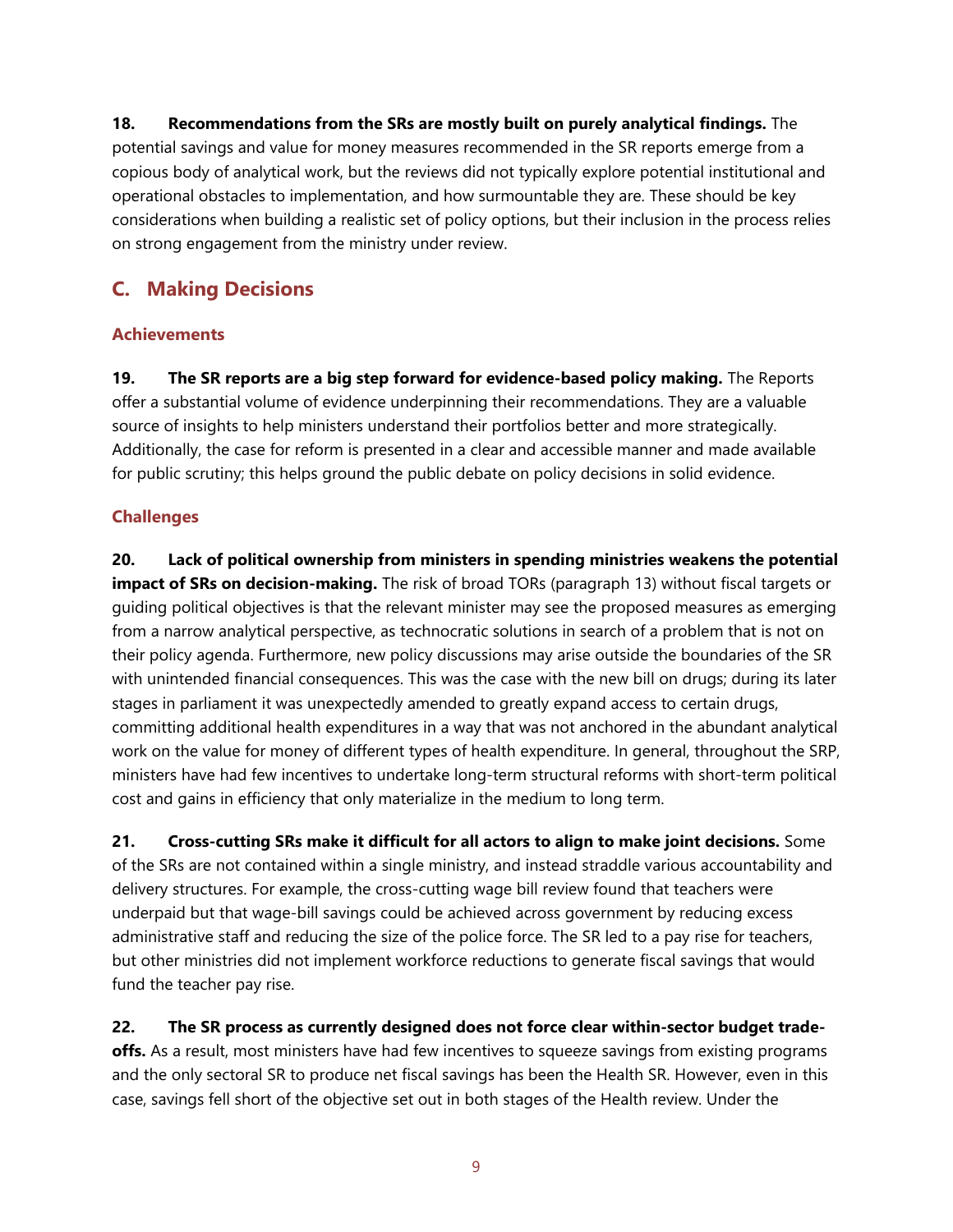**18. Recommendations from the SRs are mostly built on purely analytical findings.** The potential savings and value for money measures recommended in the SR reports emerge from a copious body of analytical work, but the reviews did not typically explore potential institutional and operational obstacles to implementation, and how surmountable they are. These should be key considerations when building a realistic set of policy options, but their inclusion in the process relies on strong engagement from the ministry under review.

## **C. Making Decisions**

#### **Achievements**

**19. The SR reports are a big step forward for evidence-based policy making.** The Reports offer a substantial volume of evidence underpinning their recommendations. They are a valuable source of insights to help ministers understand their portfolios better and more strategically. Additionally, the case for reform is presented in a clear and accessible manner and made available for public scrutiny; this helps ground the public debate on policy decisions in solid evidence.

#### **Challenges**

**20. Lack of political ownership from ministers in spending ministries weakens the potential impact of SRs on decision-making.** The risk of broad TORs (paragraph 13) without fiscal targets or guiding political objectives is that the relevant minister may see the proposed measures as emerging from a narrow analytical perspective, as technocratic solutions in search of a problem that is not on their policy agenda. Furthermore, new policy discussions may arise outside the boundaries of the SR with unintended financial consequences. This was the case with the new bill on drugs; during its later stages in parliament it was unexpectedly amended to greatly expand access to certain drugs, committing additional health expenditures in a way that was not anchored in the abundant analytical work on the value for money of different types of health expenditure. In general, throughout the SRP, ministers have had few incentives to undertake long-term structural reforms with short-term political cost and gains in efficiency that only materialize in the medium to long term.

**21. Cross-cutting SRs make it difficult for all actors to align to make joint decisions.** Some of the SRs are not contained within a single ministry, and instead straddle various accountability and delivery structures. For example, the cross-cutting wage bill review found that teachers were underpaid but that wage-bill savings could be achieved across government by reducing excess administrative staff and reducing the size of the police force. The SR led to a pay rise for teachers, but other ministries did not implement workforce reductions to generate fiscal savings that would fund the teacher pay rise.

**22. The SR process as currently designed does not force clear within-sector budget tradeoffs.** As a result, most ministers have had few incentives to squeeze savings from existing programs and the only sectoral SR to produce net fiscal savings has been the Health SR. However, even in this case, savings fell short of the objective set out in both stages of the Health review. Under the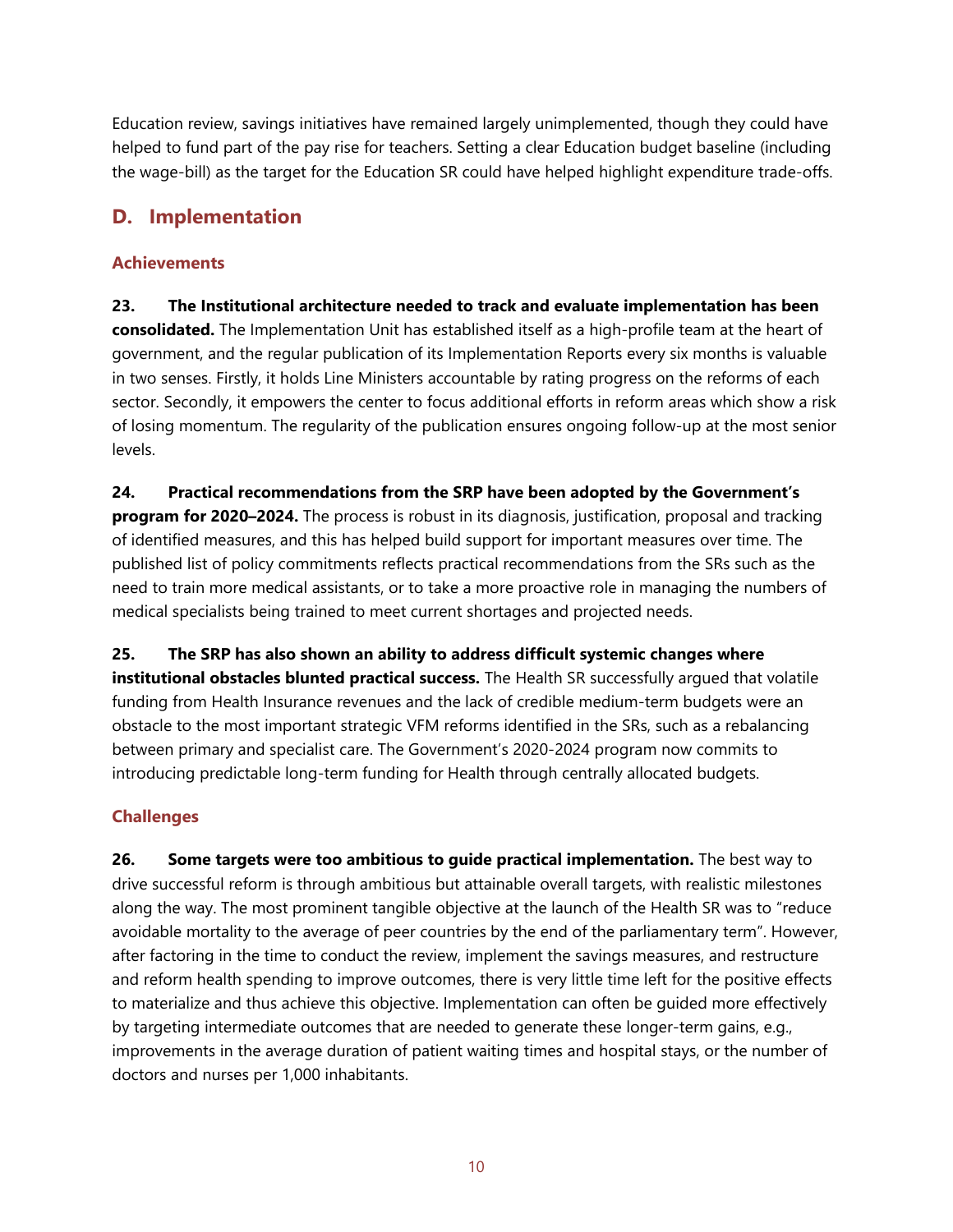Education review, savings initiatives have remained largely unimplemented, though they could have helped to fund part of the pay rise for teachers. Setting a clear Education budget baseline (including the wage-bill) as the target for the Education SR could have helped highlight expenditure trade-offs.

### **D. Implementation**

#### **Achievements**

**23. The Institutional architecture needed to track and evaluate implementation has been consolidated.** The Implementation Unit has established itself as a high-profile team at the heart of government, and the regular publication of its Implementation Reports every six months is valuable in two senses. Firstly, it holds Line Ministers accountable by rating progress on the reforms of each sector. Secondly, it empowers the center to focus additional efforts in reform areas which show a risk of losing momentum. The regularity of the publication ensures ongoing follow-up at the most senior levels.

**24. Practical recommendations from the SRP have been adopted by the Government's program for 2020–2024.** The process is robust in its diagnosis, justification, proposal and tracking of identified measures, and this has helped build support for important measures over time. The published list of policy commitments reflects practical recommendations from the SRs such as the need to train more medical assistants, or to take a more proactive role in managing the numbers of medical specialists being trained to meet current shortages and projected needs.

**25. The SRP has also shown an ability to address difficult systemic changes where institutional obstacles blunted practical success.** The Health SR successfully argued that volatile funding from Health Insurance revenues and the lack of credible medium-term budgets were an obstacle to the most important strategic VFM reforms identified in the SRs, such as a rebalancing between primary and specialist care. The Government's 2020-2024 program now commits to introducing predictable long-term funding for Health through centrally allocated budgets.

#### **Challenges**

**26. Some targets were too ambitious to guide practical implementation.** The best way to drive successful reform is through ambitious but attainable overall targets, with realistic milestones along the way. The most prominent tangible objective at the launch of the Health SR was to "reduce avoidable mortality to the average of peer countries by the end of the parliamentary term". However, after factoring in the time to conduct the review, implement the savings measures, and restructure and reform health spending to improve outcomes, there is very little time left for the positive effects to materialize and thus achieve this objective. Implementation can often be guided more effectively by targeting intermediate outcomes that are needed to generate these longer-term gains, e.g., improvements in the average duration of patient waiting times and hospital stays, or the number of doctors and nurses per 1,000 inhabitants.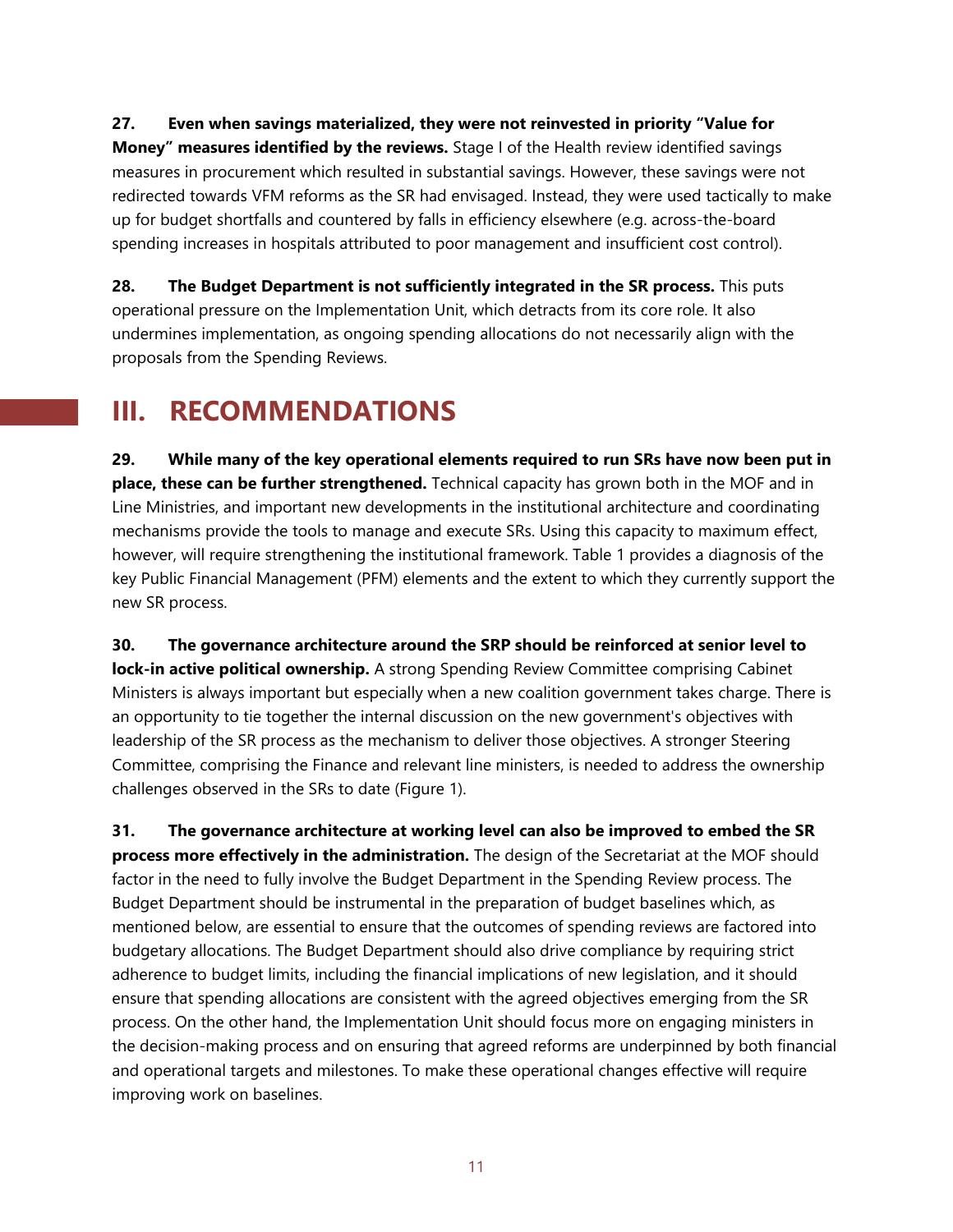**27. Even when savings materialized, they were not reinvested in priority "Value for Money" measures identified by the reviews.** Stage I of the Health review identified savings measures in procurement which resulted in substantial savings. However, these savings were not redirected towards VFM reforms as the SR had envisaged. Instead, they were used tactically to make up for budget shortfalls and countered by falls in efficiency elsewhere (e.g. across-the-board spending increases in hospitals attributed to poor management and insufficient cost control).

**28. The Budget Department is not sufficiently integrated in the SR process.** This puts operational pressure on the Implementation Unit, which detracts from its core role. It also undermines implementation, as ongoing spending allocations do not necessarily align with the proposals from the Spending Reviews.

## **III. RECOMMENDATIONS**

**29. While many of the key operational elements required to run SRs have now been put in place, these can be further strengthened.** Technical capacity has grown both in the MOF and in Line Ministries, and important new developments in the institutional architecture and coordinating mechanisms provide the tools to manage and execute SRs. Using this capacity to maximum effect, however, will require strengthening the institutional framework. Table 1 provides a diagnosis of the key Public Financial Management (PFM) elements and the extent to which they currently support the new SR process.

**30. The governance architecture around the SRP should be reinforced at senior level to lock-in active political ownership.** A strong Spending Review Committee comprising Cabinet Ministers is always important but especially when a new coalition government takes charge. There is an opportunity to tie together the internal discussion on the new government's objectives with leadership of the SR process as the mechanism to deliver those objectives. A stronger Steering Committee, comprising the Finance and relevant line ministers, is needed to address the ownership challenges observed in the SRs to date (Figure 1).

**31. The governance architecture at working level can also be improved to embed the SR process more effectively in the administration.** The design of the Secretariat at the MOF should factor in the need to fully involve the Budget Department in the Spending Review process. The Budget Department should be instrumental in the preparation of budget baselines which, as mentioned below, are essential to ensure that the outcomes of spending reviews are factored into budgetary allocations. The Budget Department should also drive compliance by requiring strict adherence to budget limits, including the financial implications of new legislation, and it should ensure that spending allocations are consistent with the agreed objectives emerging from the SR process. On the other hand, the Implementation Unit should focus more on engaging ministers in the decision-making process and on ensuring that agreed reforms are underpinned by both financial and operational targets and milestones. To make these operational changes effective will require improving work on baselines.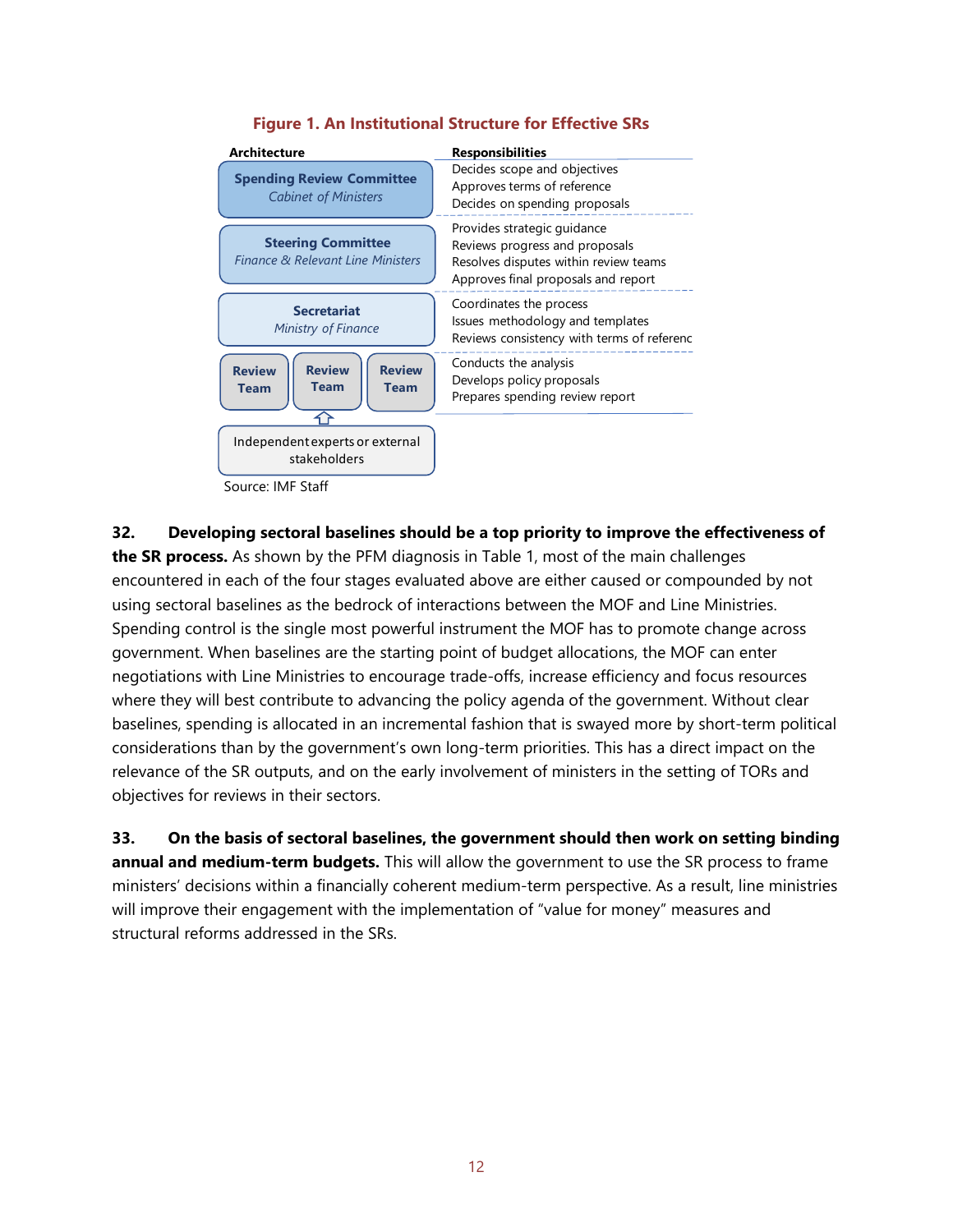

#### **Figure 1. An Institutional Structure for Effective SRs**

Source: IMF Staff

**32. Developing sectoral baselines should be a top priority to improve the effectiveness of the SR process.** As shown by the PFM diagnosis in Table 1, most of the main challenges encountered in each of the four stages evaluated above are either caused or compounded by not using sectoral baselines as the bedrock of interactions between the MOF and Line Ministries. Spending control is the single most powerful instrument the MOF has to promote change across government. When baselines are the starting point of budget allocations, the MOF can enter negotiations with Line Ministries to encourage trade-offs, increase efficiency and focus resources where they will best contribute to advancing the policy agenda of the government. Without clear baselines, spending is allocated in an incremental fashion that is swayed more by short-term political considerations than by the government's own long-term priorities. This has a direct impact on the relevance of the SR outputs, and on the early involvement of ministers in the setting of TORs and objectives for reviews in their sectors.

**33. On the basis of sectoral baselines, the government should then work on setting binding annual and medium-term budgets.** This will allow the government to use the SR process to frame ministers' decisions within a financially coherent medium-term perspective. As a result, line ministries will improve their engagement with the implementation of "value for money" measures and structural reforms addressed in the SRs.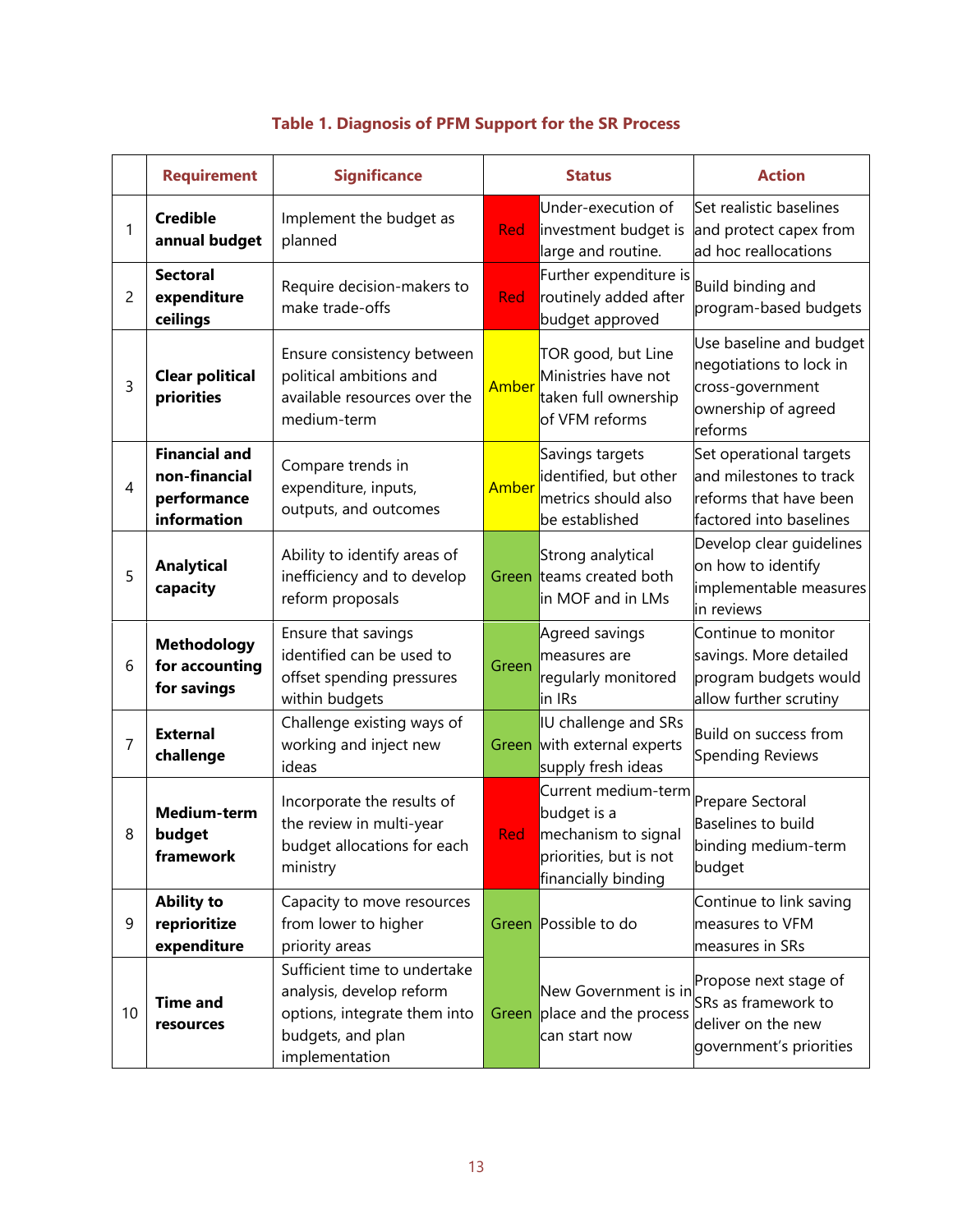|                | <b>Requirement</b>                                                  | <b>Significance</b>                                                                                                             | <b>Status</b> |                                                                                                                             | <b>Action</b>                                                                                            |
|----------------|---------------------------------------------------------------------|---------------------------------------------------------------------------------------------------------------------------------|---------------|-----------------------------------------------------------------------------------------------------------------------------|----------------------------------------------------------------------------------------------------------|
| 1              | <b>Credible</b><br>annual budget                                    | Implement the budget as<br>planned                                                                                              | Red           | Under-execution of<br>investment budget is<br>large and routine.                                                            | Set realistic baselines<br>and protect capex from<br>ad hoc reallocations                                |
| 2              | <b>Sectoral</b><br>expenditure<br>ceilings                          | Require decision-makers to<br>make trade-offs                                                                                   | Red           | Further expenditure is<br>routinely added after<br>budget approved                                                          | Build binding and<br>program-based budgets                                                               |
| 3              | <b>Clear political</b><br>priorities                                | Ensure consistency between<br>political ambitions and<br>available resources over the<br>medium-term                            | Amber         | TOR good, but Line<br>Ministries have not<br>taken full ownership<br>of VFM reforms                                         | Use baseline and budget<br>negotiations to lock in<br>cross-government<br>ownership of agreed<br>reforms |
| $\overline{4}$ | <b>Financial and</b><br>non-financial<br>performance<br>information | Compare trends in<br>expenditure, inputs,<br>outputs, and outcomes                                                              | Amber         | Savings targets<br>identified, but other<br>metrics should also<br>be established                                           | Set operational targets<br>and milestones to track<br>reforms that have been<br>factored into baselines  |
| 5              | <b>Analytical</b><br>capacity                                       | Ability to identify areas of<br>inefficiency and to develop<br>reform proposals                                                 | Green         | Strong analytical<br>teams created both<br>in MOF and in LMs                                                                | Develop clear guidelines<br>on how to identify<br>implementable measures<br>in reviews                   |
| 6              | <b>Methodology</b><br>for accounting<br>for savings                 | Ensure that savings<br>identified can be used to<br>offset spending pressures<br>within budgets                                 | Green         | Agreed savings<br>measures are<br>regularly monitored<br>in IRs                                                             | Continue to monitor<br>savings. More detailed<br>program budgets would<br>allow further scrutiny         |
| $\overline{7}$ | <b>External</b><br>challenge                                        | Challenge existing ways of<br>working and inject new<br>ideas                                                                   | Green         | IU challenge and SRs<br>with external experts<br>supply fresh ideas                                                         | Build on success from<br><b>Spending Reviews</b>                                                         |
| 8              | Medium-term<br>budget<br>framework                                  | Incorporate the results of<br>the review in multi-year<br>budget allocations for each<br>ministry                               | Red           | Current medium-term Prepare Sectoral<br>budget is a<br>mechanism to signal<br>priorities, but is not<br>financially binding | Baselines to build<br>binding medium-term<br>budget                                                      |
| 9              | <b>Ability to</b><br>reprioritize<br>expenditure                    | Capacity to move resources<br>from lower to higher<br>priority areas                                                            |               | Green Possible to do                                                                                                        | Continue to link saving<br>measures to VFM<br>measures in SRs                                            |
| 10             | <b>Time and</b><br>resources                                        | Sufficient time to undertake<br>analysis, develop reform<br>options, integrate them into<br>budgets, and plan<br>implementation | Green         | New Government is in<br>place and the process<br>can start now                                                              | Propose next stage of<br>SRs as framework to<br>deliver on the new<br>government's priorities            |

## **Table 1. Diagnosis of PFM Support for the SR Process**